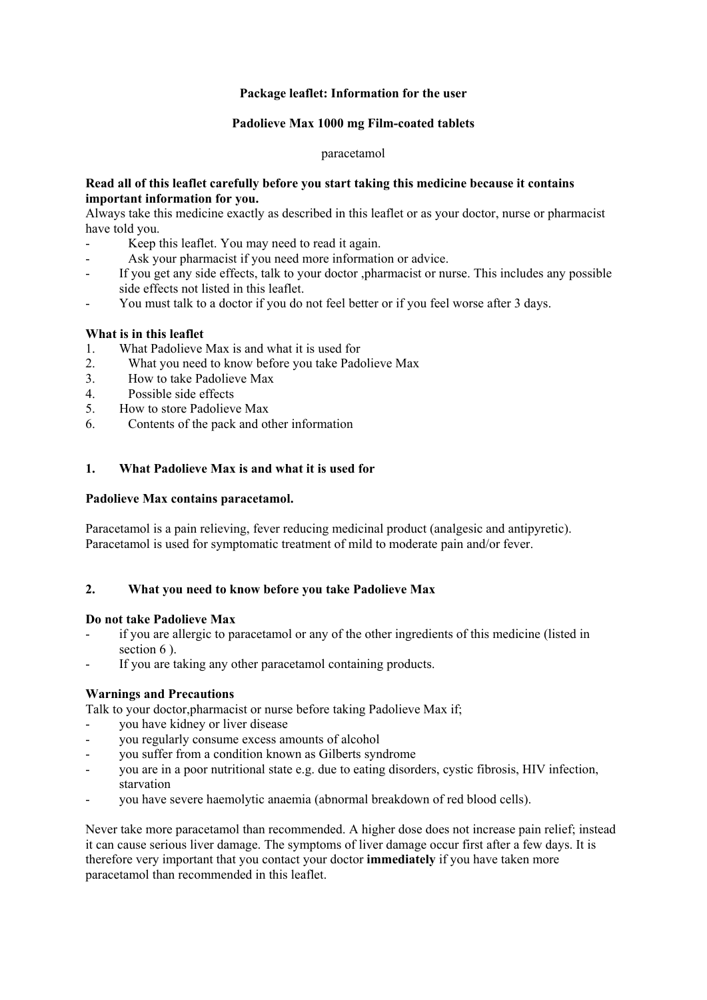## **Package leaflet: Information for the user**

# **Padolieve Max 1000 mg Film-coated tablets**

### paracetamol

## **Read all of this leaflet carefully before you start taking this medicine because it contains important information for you.**

Always take this medicine exactly as described in this leaflet or as your doctor, nurse or pharmacist have told you.

- Keep this leaflet. You may need to read it again.
- Ask your pharmacist if you need more information or advice.
- If you get any side effects, talk to your doctor ,pharmacist or nurse. This includes any possible side effects not listed in this leaflet.
- You must talk to a doctor if you do not feel better or if you feel worse after 3 days.

## **What is in this leaflet**

- 1. What Padolieve Max is and what it is used for
- 2. What you need to know before you take Padolieve Max
- 3. How to take Padolieve Max
- 4. Possible side effects
- 5. How to store Padolieve Max
- 6. Contents of the pack and other information

## **1. What Padolieve Max is and what it is used for**

#### **Padolieve Max contains paracetamol.**

Paracetamol is a pain relieving, fever reducing medicinal product (analgesic and antipyretic). Paracetamol is used for symptomatic treatment of mild to moderate pain and/or fever.

## **2. What you need to know before you take Padolieve Max**

### **Do not take Padolieve Max**

- if you are allergic to paracetamol or any of the other ingredients of this medicine (listed in section 6).
- If you are taking any other paracetamol containing products.

## **Warnings and Precautions**

Talk to your doctor,pharmacist or nurse before taking Padolieve Max if;

- you have kidney or liver disease
- you regularly consume excess amounts of alcohol
- you suffer from a condition known as Gilberts syndrome
- you are in a poor nutritional state e.g. due to eating disorders, cystic fibrosis, HIV infection, starvation
- you have severe haemolytic anaemia (abnormal breakdown of red blood cells).

Never take more paracetamol than recommended. A higher dose does not increase pain relief; instead it can cause serious liver damage. The symptoms of liver damage occur first after a few days. It is therefore very important that you contact your doctor **immediately** if you have taken more paracetamol than recommended in this leaflet.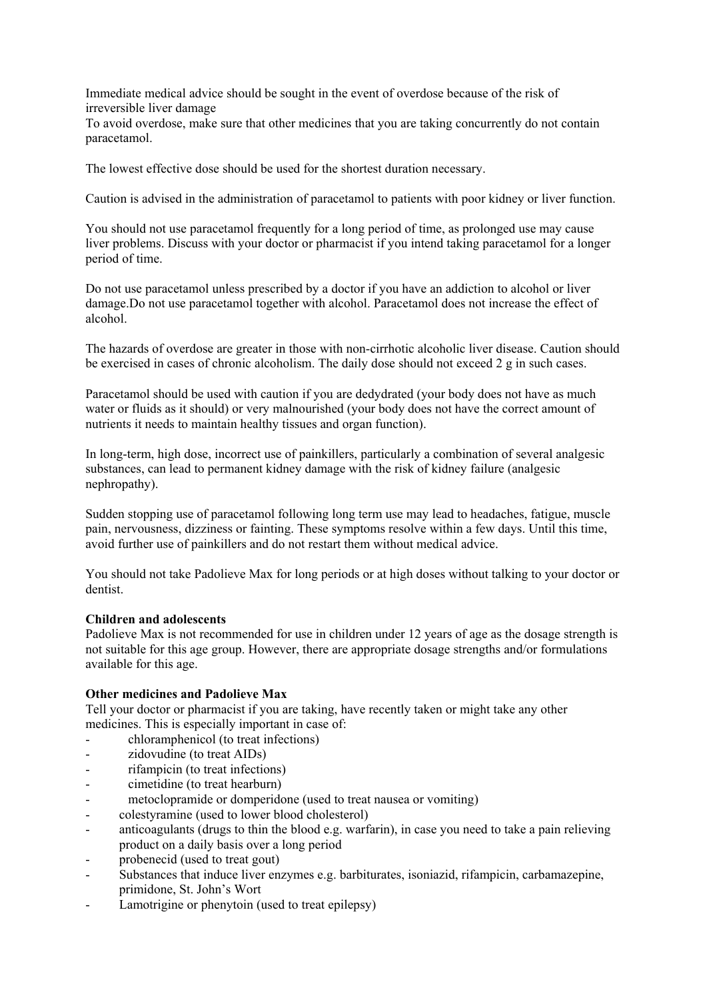Immediate medical advice should be sought in the event of overdose because of the risk of irreversible liver damage

To avoid overdose, make sure that other medicines that you are taking concurrently do not contain paracetamol.

The lowest effective dose should be used for the shortest duration necessary.

Caution is advised in the administration of paracetamol to patients with poor kidney or liver function.

You should not use paracetamol frequently for a long period of time, as prolonged use may cause liver problems. Discuss with your doctor or pharmacist if you intend taking paracetamol for a longer period of time.

Do not use paracetamol unless prescribed by a doctor if you have an addiction to alcohol or liver damage.Do not use paracetamol together with alcohol. Paracetamol does not increase the effect of alcohol.

The hazards of overdose are greater in those with non-cirrhotic alcoholic liver disease. Caution should be exercised in cases of chronic alcoholism. The daily dose should not exceed 2 g in such cases.

Paracetamol should be used with caution if you are dedydrated (your body does not have as much water or fluids as it should) or very malnourished (your body does not have the correct amount of nutrients it needs to maintain healthy tissues and organ function).

In long-term, high dose, incorrect use of painkillers, particularly a combination of several analgesic substances, can lead to permanent kidney damage with the risk of kidney failure (analgesic nephropathy).

Sudden stopping use of paracetamol following long term use may lead to headaches, fatigue, muscle pain, nervousness, dizziness or fainting. These symptoms resolve within a few days. Until this time, avoid further use of painkillers and do not restart them without medical advice.

You should not take Padolieve Max for long periods or at high doses without talking to your doctor or dentist.

## **Children and adolescents**

Padolieve Max is not recommended for use in children under 12 years of age as the dosage strength is not suitable for this age group. However, there are appropriate dosage strengths and/or formulations available for this age.

## **Other medicines and Padolieve Max**

Tell your doctor or pharmacist if you are taking, have recently taken or might take any other medicines. This is especially important in case of:

- chloramphenicol (to treat infections)
- zidovudine (to treat AIDs)
- rifampicin (to treat infections)
- cimetidine (to treat hearburn)
- metoclopramide or domperidone (used to treat nausea or vomiting)
- colestyramine (used to lower blood cholesterol)
- anticoagulants (drugs to thin the blood e.g. warfarin), in case you need to take a pain relieving product on a daily basis over a long period
- probenecid (used to treat gout)
- Substances that induce liver enzymes e.g. barbiturates, isoniazid, rifampicin, carbamazepine, primidone, St. John's Wort
- Lamotrigine or phenytoin (used to treat epilepsy)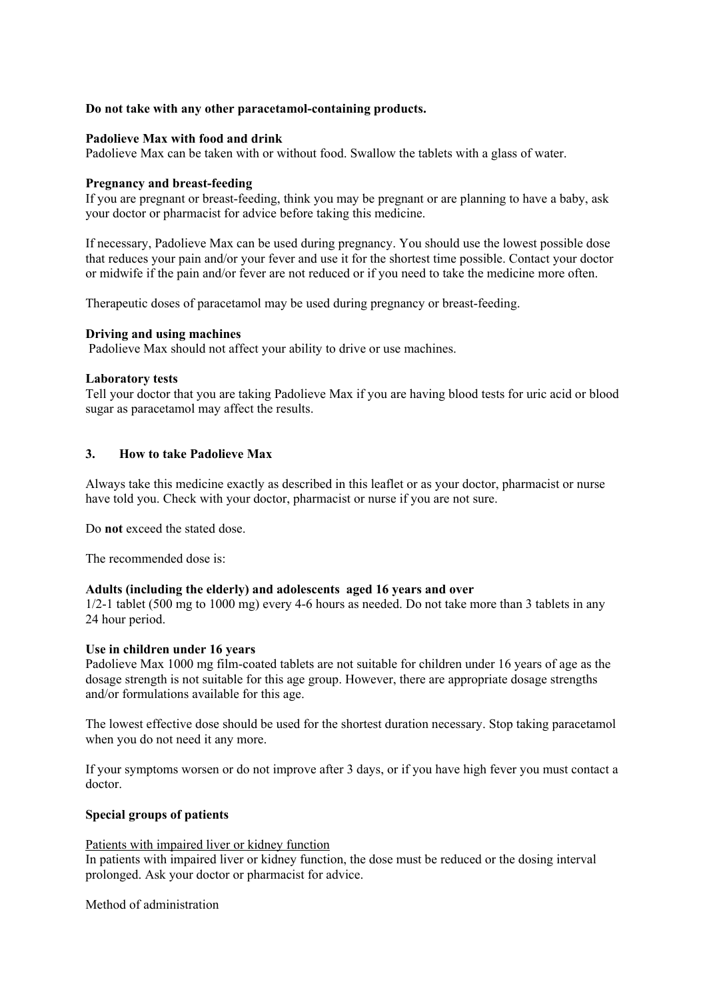## **Do not take with any other paracetamol-containing products.**

### **Padolieve Max with food and drink**

Padolieve Max can be taken with or without food. Swallow the tablets with a glass of water.

#### **Pregnancy and breast-feeding**

If you are pregnant or breast-feeding, think you may be pregnant or are planning to have a baby, ask your doctor or pharmacist for advice before taking this medicine.

If necessary, Padolieve Max can be used during pregnancy. You should use the lowest possible dose that reduces your pain and/or your fever and use it for the shortest time possible. Contact your doctor or midwife if the pain and/or fever are not reduced or if you need to take the medicine more often.

Therapeutic doses of paracetamol may be used during pregnancy or breast-feeding.

### **Driving and using machines**

Padolieve Max should not affect your ability to drive or use machines.

### **Laboratory tests**

Tell your doctor that you are taking Padolieve Max if you are having blood tests for uric acid or blood sugar as paracetamol may affect the results.

## **3. How to take Padolieve Max**

Always take this medicine exactly as described in this leaflet or as your doctor, pharmacist or nurse have told you. Check with your doctor, pharmacist or nurse if you are not sure.

Do **not** exceed the stated dose.

The recommended dose is:

#### **Adults (including the elderly) and adolescents aged 16 years and over**

1/2-1 tablet (500 mg to 1000 mg) every 4-6 hours as needed. Do not take more than 3 tablets in any 24 hour period.

#### **Use in children under 16 years**

Padolieve Max 1000 mg film-coated tablets are not suitable for children under 16 years of age as the dosage strength is not suitable for this age group. However, there are appropriate dosage strengths and/or formulations available for this age.

The lowest effective dose should be used for the shortest duration necessary. Stop taking paracetamol when you do not need it any more.

If your symptoms worsen or do not improve after 3 days, or if you have high fever you must contact a doctor.

## **Special groups of patients**

#### Patients with impaired liver or kidney function

In patients with impaired liver or kidney function, the dose must be reduced or the dosing interval prolonged. Ask your doctor or pharmacist for advice.

Method of administration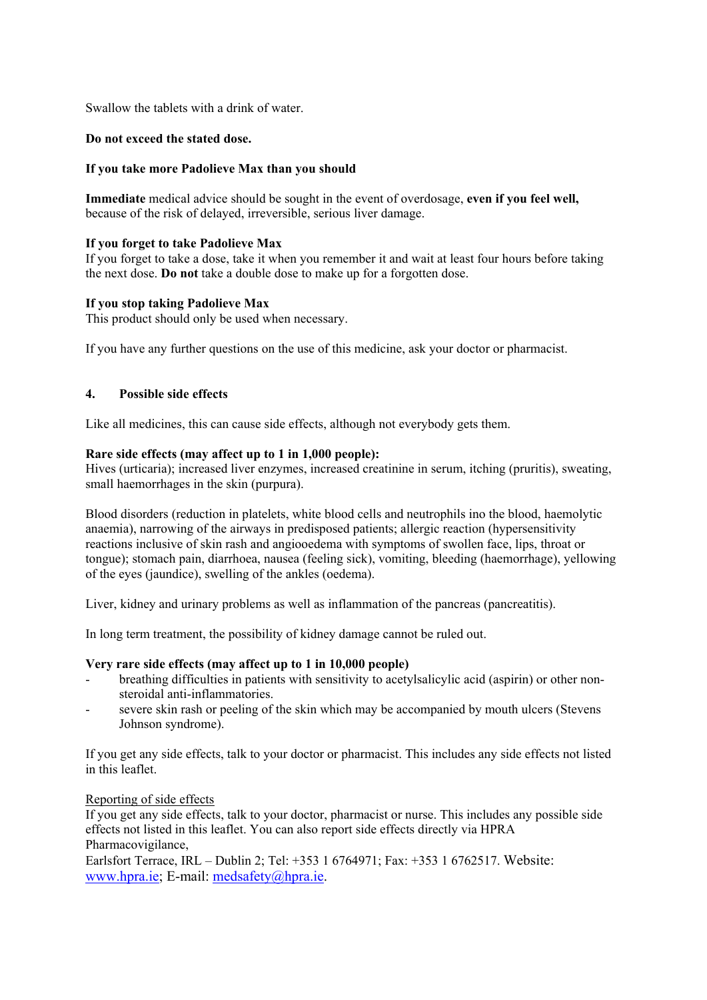Swallow the tablets with a drink of water.

# **Do not exceed the stated dose.**

## **If you take more Padolieve Max than you should**

**Immediate** medical advice should be sought in the event of overdosage, **even if you feel well,** because of the risk of delayed, irreversible, serious liver damage.

# **If you forget to take Padolieve Max**

If you forget to take a dose, take it when you remember it and wait at least four hours before taking the next dose. **Do not** take a double dose to make up for a forgotten dose.

# **If you stop taking Padolieve Max**

This product should only be used when necessary.

If you have any further questions on the use of this medicine, ask your doctor or pharmacist.

# **4. Possible side effects**

Like all medicines, this can cause side effects, although not everybody gets them.

## **Rare side effects (may affect up to 1 in 1,000 people):**

Hives (urticaria); increased liver enzymes, increased creatinine in serum, itching (pruritis), sweating, small haemorrhages in the skin (purpura).

Blood disorders (reduction in platelets, white blood cells and neutrophils ino the blood, haemolytic anaemia), narrowing of the airways in predisposed patients; allergic reaction (hypersensitivity reactions inclusive of skin rash and angiooedema with symptoms of swollen face, lips, throat or tongue); stomach pain, diarrhoea, nausea (feeling sick), vomiting, bleeding (haemorrhage), yellowing of the eyes (jaundice), swelling of the ankles (oedema).

Liver, kidney and urinary problems as well as inflammation of the pancreas (pancreatitis).

In long term treatment, the possibility of kidney damage cannot be ruled out.

## **Very rare side effects (may affect up to 1 in 10,000 people)**

- breathing difficulties in patients with sensitivity to acetylsalicylic acid (aspirin) or other nonsteroidal anti-inflammatories.
- severe skin rash or peeling of the skin which may be accompanied by mouth ulcers (Stevens Johnson syndrome).

If you get any side effects, talk to your doctor or pharmacist. This includes any side effects not listed in this leaflet.

## Reporting of side effects

If you get any side effects, talk to your doctor, pharmacist or nurse. This includes any possible side effects not listed in this leaflet. You can also report side effects directly via HPRA Pharmacovigilance,

Earlsfort Terrace, IRL – Dublin 2; Tel: +353 1 6764971; Fax: +353 1 6762517. Website: www.hpra.ie; E-mail: medsafety@hpra.ie.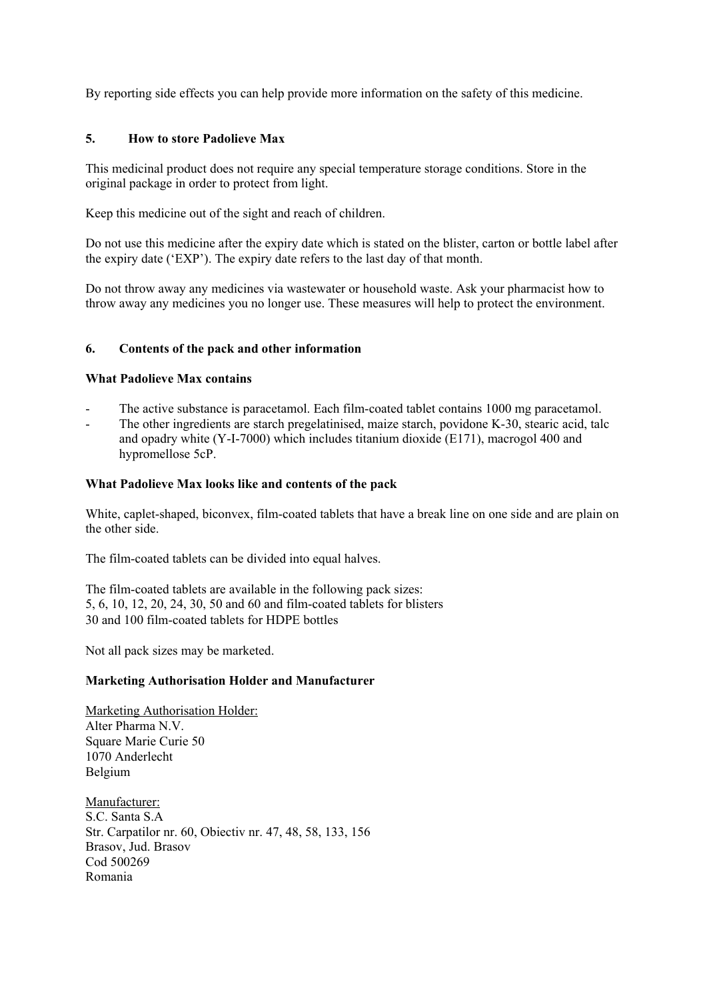By reporting side effects you can help provide more information on the safety of this medicine.

## **5. How to store Padolieve Max**

This medicinal product does not require any special temperature storage conditions. Store in the original package in order to protect from light.

Keep this medicine out of the sight and reach of children.

Do not use this medicine after the expiry date which is stated on the blister, carton or bottle label after the expiry date ('EXP'). The expiry date refers to the last day of that month.

Do not throw away any medicines via wastewater or household waste. Ask your pharmacist how to throw away any medicines you no longer use. These measures will help to protect the environment.

# **6. Contents of the pack and other information**

## **What Padolieve Max contains**

- The active substance is paracetamol. Each film-coated tablet contains 1000 mg paracetamol.
- The other ingredients are starch pregelatinised, maize starch, povidone K-30, stearic acid, talc and opadry white (Y-I-7000) which includes titanium dioxide (E171), macrogol 400 and hypromellose 5cP.

## **What Padolieve Max looks like and contents of the pack**

White, caplet-shaped, biconvex, film-coated tablets that have a break line on one side and are plain on the other side.

The film-coated tablets can be divided into equal halves.

The film-coated tablets are available in the following pack sizes: 5, 6, 10, 12, 20, 24, 30, 50 and 60 and film-coated tablets for blisters 30 and 100 film-coated tablets for HDPE bottles

Not all pack sizes may be marketed.

## **Marketing Authorisation Holder and Manufacturer**

Marketing Authorisation Holder: Alter Pharma N.V. Square Marie Curie 50 1070 Anderlecht Belgium

Manufacturer: S.C. Santa S.A Str. Carpatilor nr. 60, Obiectiv nr. 47, 48, 58, 133, 156 Brasov, Jud. Brasov Cod 500269 Romania